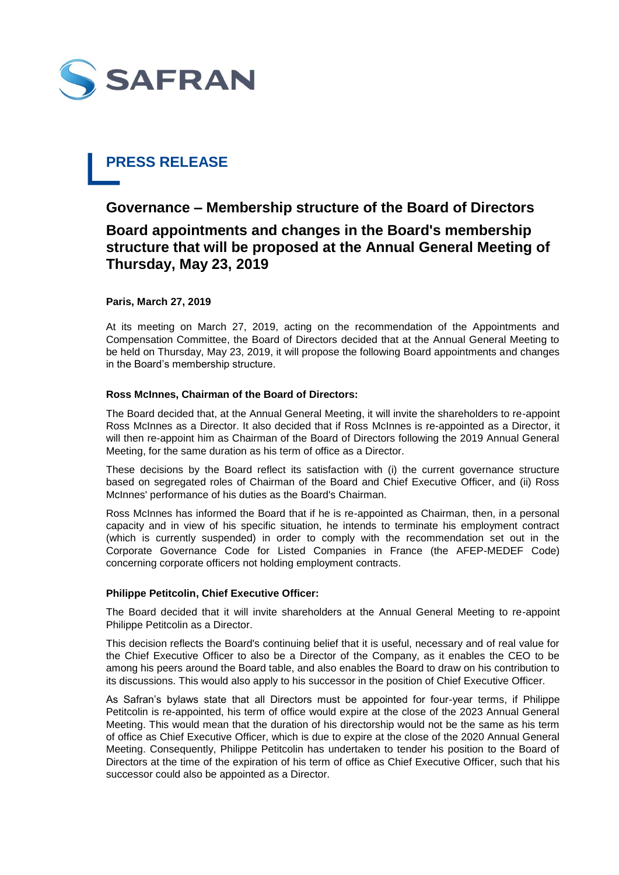

# **PRESS RELEASE**

## **Governance – Membership structure of the Board of Directors Board appointments and changes in the Board's membership structure that will be proposed at the Annual General Meeting of Thursday, May 23, 2019**

#### **Paris, March 27, 2019**

At its meeting on March 27, 2019, acting on the recommendation of the Appointments and Compensation Committee, the Board of Directors decided that at the Annual General Meeting to be held on Thursday, May 23, 2019, it will propose the following Board appointments and changes in the Board's membership structure.

#### **Ross McInnes, Chairman of the Board of Directors:**

The Board decided that, at the Annual General Meeting, it will invite the shareholders to re-appoint Ross McInnes as a Director. It also decided that if Ross McInnes is re-appointed as a Director, it will then re-appoint him as Chairman of the Board of Directors following the 2019 Annual General Meeting, for the same duration as his term of office as a Director.

These decisions by the Board reflect its satisfaction with (i) the current governance structure based on segregated roles of Chairman of the Board and Chief Executive Officer, and (ii) Ross McInnes' performance of his duties as the Board's Chairman.

Ross McInnes has informed the Board that if he is re-appointed as Chairman, then, in a personal capacity and in view of his specific situation, he intends to terminate his employment contract (which is currently suspended) in order to comply with the recommendation set out in the Corporate Governance Code for Listed Companies in France (the AFEP-MEDEF Code) concerning corporate officers not holding employment contracts.

#### **Philippe Petitcolin, Chief Executive Officer:**

The Board decided that it will invite shareholders at the Annual General Meeting to re-appoint Philippe Petitcolin as a Director.

This decision reflects the Board's continuing belief that it is useful, necessary and of real value for the Chief Executive Officer to also be a Director of the Company, as it enables the CEO to be among his peers around the Board table, and also enables the Board to draw on his contribution to its discussions. This would also apply to his successor in the position of Chief Executive Officer.

As Safran's bylaws state that all Directors must be appointed for four-year terms, if Philippe Petitcolin is re-appointed, his term of office would expire at the close of the 2023 Annual General Meeting. This would mean that the duration of his directorship would not be the same as his term of office as Chief Executive Officer, which is due to expire at the close of the 2020 Annual General Meeting. Consequently, Philippe Petitcolin has undertaken to tender his position to the Board of Directors at the time of the expiration of his term of office as Chief Executive Officer, such that his successor could also be appointed as a Director.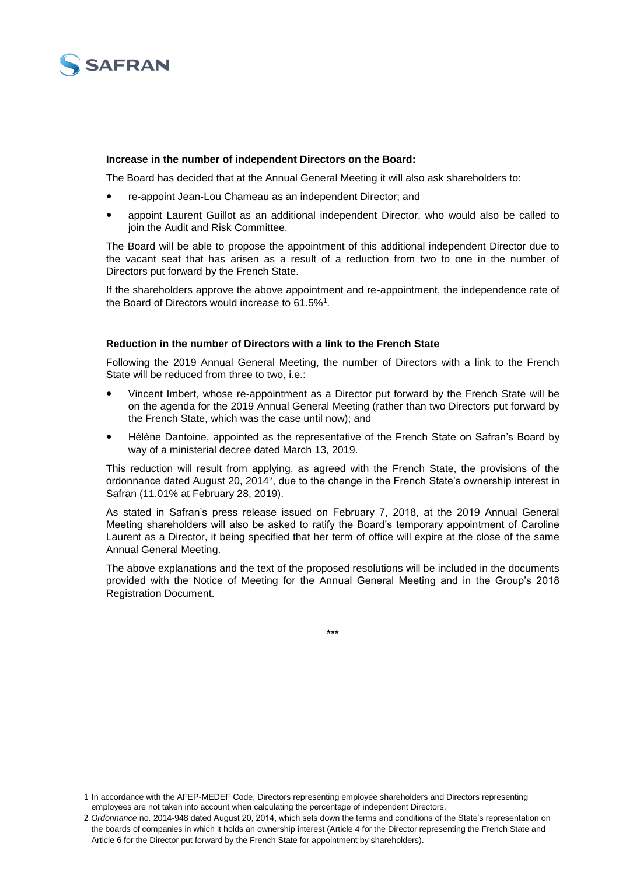

#### **Increase in the number of independent Directors on the Board:**

The Board has decided that at the Annual General Meeting it will also ask shareholders to:

- re-appoint Jean-Lou Chameau as an independent Director; and
- appoint Laurent Guillot as an additional independent Director, who would also be called to join the Audit and Risk Committee.

The Board will be able to propose the appointment of this additional independent Director due to the vacant seat that has arisen as a result of a reduction from two to one in the number of Directors put forward by the French State.

If the shareholders approve the above appointment and re-appointment, the independence rate of the Board of Directors would increase to 61.5%<sup>1</sup>.

#### **Reduction in the number of Directors with a link to the French State**

Following the 2019 Annual General Meeting, the number of Directors with a link to the French State will be reduced from three to two, i.e.:

- Vincent Imbert, whose re-appointment as a Director put forward by the French State will be on the agenda for the 2019 Annual General Meeting (rather than two Directors put forward by the French State, which was the case until now); and
- Hélène Dantoine, appointed as the representative of the French State on Safran's Board by way of a ministerial decree dated March 13, 2019.

This reduction will result from applying, as agreed with the French State, the provisions of the ordonnance dated August 20, 2014<sup>2</sup>, due to the change in the French State's ownership interest in Safran (11.01% at February 28, 2019).

As stated in Safran's press release issued on February 7, 2018, at the 2019 Annual General Meeting shareholders will also be asked to ratify the Board's temporary appointment of Caroline Laurent as a Director, it being specified that her term of office will expire at the close of the same Annual General Meeting.

The above explanations and the text of the proposed resolutions will be included in the documents provided with the Notice of Meeting for the Annual General Meeting and in the Group's 2018 Registration Document.

\*\*\*

<sup>1</sup> In accordance with the AFEP-MEDEF Code, Directors representing employee shareholders and Directors representing employees are not taken into account when calculating the percentage of independent Directors.

<sup>2</sup> *Ordonnance* no. 2014-948 dated August 20, 2014, which sets down the terms and conditions of the State's representation on the boards of companies in which it holds an ownership interest (Article 4 for the Director representing the French State and Article 6 for the Director put forward by the French State for appointment by shareholders).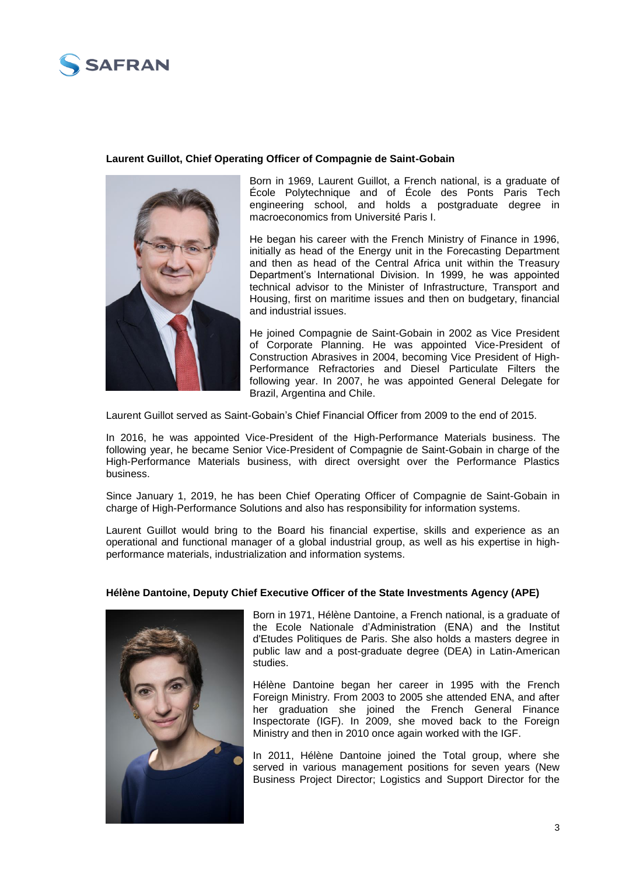

#### **Laurent Guillot, Chief Operating Officer of Compagnie de Saint-Gobain**



Born in 1969, Laurent Guillot, a French national, is a graduate of École Polytechnique and of École des Ponts Paris Tech engineering school, and holds a postgraduate degree in macroeconomics from Université Paris I.

He began his career with the French Ministry of Finance in 1996, initially as head of the Energy unit in the Forecasting Department and then as head of the Central Africa unit within the Treasury Department's International Division. In 1999, he was appointed technical advisor to the Minister of Infrastructure, Transport and Housing, first on maritime issues and then on budgetary, financial and industrial issues.

He joined Compagnie de Saint-Gobain in 2002 as Vice President of Corporate Planning. He was appointed Vice-President of Construction Abrasives in 2004, becoming Vice President of High-Performance Refractories and Diesel Particulate Filters the following year. In 2007, he was appointed General Delegate for Brazil, Argentina and Chile.

Laurent Guillot served as Saint-Gobain's Chief Financial Officer from 2009 to the end of 2015.

In 2016, he was appointed Vice-President of the High-Performance Materials business. The following year, he became Senior Vice-President of Compagnie de Saint-Gobain in charge of the High-Performance Materials business, with direct oversight over the Performance Plastics business.

Since January 1, 2019, he has been Chief Operating Officer of Compagnie de Saint-Gobain in charge of High-Performance Solutions and also has responsibility for information systems.

Laurent Guillot would bring to the Board his financial expertise, skills and experience as an operational and functional manager of a global industrial group, as well as his expertise in highperformance materials, industrialization and information systems.

### **Hélène Dantoine, Deputy Chief Executive Officer of the State Investments Agency (APE)**



Born in 1971, Hélène Dantoine, a French national, is a graduate of the Ecole Nationale d'Administration (ENA) and the Institut d'Etudes Politiques de Paris. She also holds a masters degree in public law and a post-graduate degree (DEA) in Latin-American studies.

Hélène Dantoine began her career in 1995 with the French Foreign Ministry. From 2003 to 2005 she attended ENA, and after her graduation she joined the French General Finance Inspectorate (IGF). In 2009, she moved back to the Foreign Ministry and then in 2010 once again worked with the IGF.

In 2011, Hélène Dantoine joined the Total group, where she served in various management positions for seven years (New Business Project Director; Logistics and Support Director for the